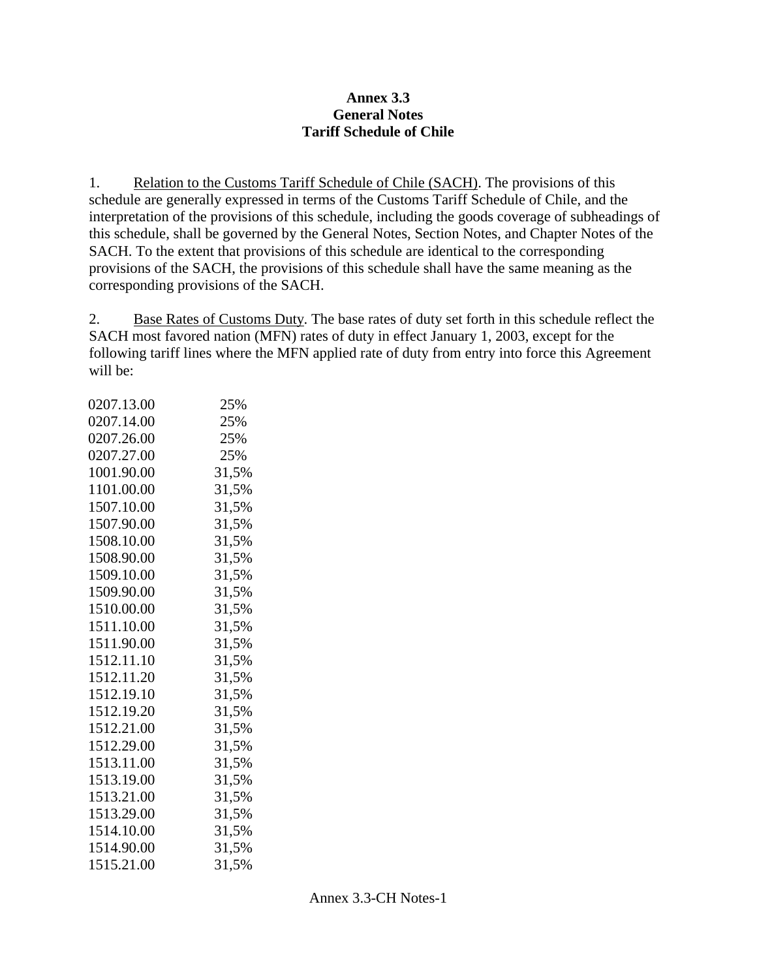# **Annex 3.3 General Notes Tariff Schedule of Chile**

1. Relation to the Customs Tariff Schedule of Chile (SACH). The provisions of this schedule are generally expressed in terms of the Customs Tariff Schedule of Chile, and the interpretation of the provisions of this schedule, including the goods coverage of subheadings of this schedule, shall be governed by the General Notes, Section Notes, and Chapter Notes of the SACH. To the extent that provisions of this schedule are identical to the corresponding provisions of the SACH, the provisions of this schedule shall have the same meaning as the corresponding provisions of the SACH.

2. Base Rates of Customs Duty. The base rates of duty set forth in this schedule reflect the SACH most favored nation (MFN) rates of duty in effect January 1, 2003, except for the following tariff lines where the MFN applied rate of duty from entry into force this Agreement will be:

| 0207.13.00 | 25%   |
|------------|-------|
| 0207.14.00 | 25%   |
| 0207.26.00 | 25%   |
| 0207.27.00 | 25%   |
| 1001.90.00 | 31,5% |
| 1101.00.00 | 31,5% |
| 1507.10.00 | 31,5% |
| 1507.90.00 | 31,5% |
| 1508.10.00 | 31,5% |
| 1508.90.00 | 31,5% |
| 1509.10.00 | 31,5% |
| 1509.90.00 | 31,5% |
| 1510.00.00 | 31,5% |
| 1511.10.00 | 31,5% |
| 1511.90.00 | 31,5% |
| 1512.11.10 | 31,5% |
| 1512.11.20 | 31,5% |
| 1512.19.10 | 31,5% |
| 1512.19.20 | 31,5% |
| 1512.21.00 | 31,5% |
| 1512.29.00 | 31,5% |
| 1513.11.00 | 31,5% |
| 1513.19.00 | 31,5% |
| 1513.21.00 | 31,5% |
| 1513.29.00 | 31,5% |
| 1514.10.00 | 31,5% |
| 1514.90.00 | 31,5% |
| 1515.21.00 | 31,5% |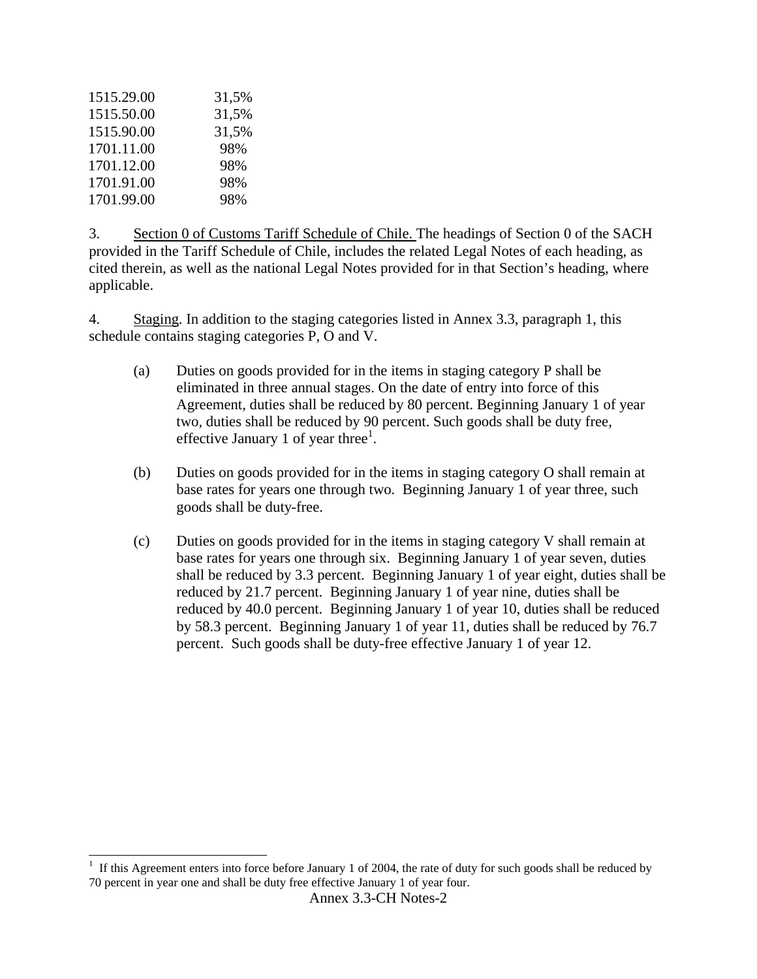| 1515.29.00 | 31,5% |
|------------|-------|
| 1515.50.00 | 31,5% |
| 1515.90.00 | 31,5% |
| 1701.11.00 | 98%   |
| 1701.12.00 | 98%   |
| 1701.91.00 | 98%   |
| 1701.99.00 | 98%   |

 $\overline{a}$ 

3. Section 0 of Customs Tariff Schedule of Chile. The headings of Section 0 of the SACH provided in the Tariff Schedule of Chile, includes the related Legal Notes of each heading, as cited therein, as well as the national Legal Notes provided for in that Section's heading, where applicable.

4. Staging. In addition to the staging categories listed in Annex 3.3, paragraph 1, this schedule contains staging categories P, O and V.

- (a) Duties on goods provided for in the items in staging category P shall be eliminated in three annual stages. On the date of entry into force of this Agreement, duties shall be reduced by 80 percent. Beginning January 1 of year two, duties shall be reduced by 90 percent. Such goods shall be duty free, effective January 1 of year three $^1$ .
- (b) Duties on goods provided for in the items in staging category O shall remain at base rates for years one through two. Beginning January 1 of year three, such goods shall be duty-free.
- (c) Duties on goods provided for in the items in staging category V shall remain at base rates for years one through six. Beginning January 1 of year seven, duties shall be reduced by 3.3 percent. Beginning January 1 of year eight, duties shall be reduced by 21.7 percent. Beginning January 1 of year nine, duties shall be reduced by 40.0 percent. Beginning January 1 of year 10, duties shall be reduced by 58.3 percent. Beginning January 1 of year 11, duties shall be reduced by 76.7 percent. Such goods shall be duty-free effective January 1 of year 12.

 $1$  If this Agreement enters into force before January 1 of 2004, the rate of duty for such goods shall be reduced by 70 percent in year one and shall be duty free effective January 1 of year four.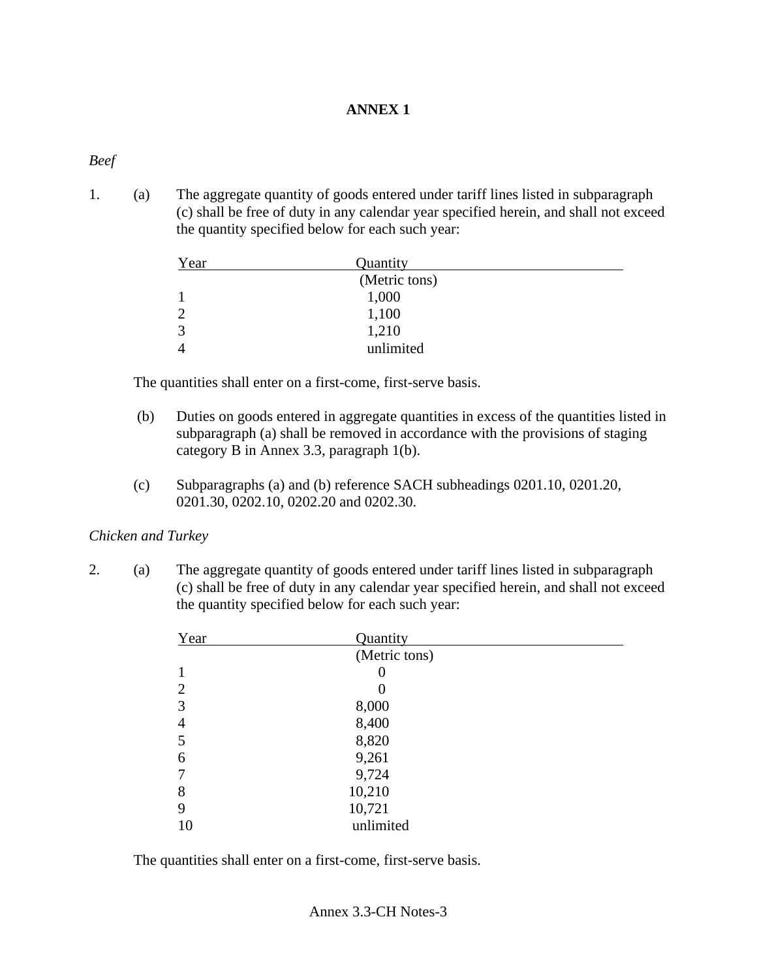# **ANNEX 1**

# *Beef*

1. (a) The aggregate quantity of goods entered under tariff lines listed in subparagraph (c) shall be free of duty in any calendar year specified herein, and shall not exceed the quantity specified below for each such year:

| Year         | Quantity      |  |
|--------------|---------------|--|
|              | (Metric tons) |  |
|              | 1,000         |  |
|              | 1,100         |  |
| $\mathbf{z}$ | 1,210         |  |
|              | unlimited     |  |

The quantities shall enter on a first-come, first-serve basis.

- (b) Duties on goods entered in aggregate quantities in excess of the quantities listed in subparagraph (a) shall be removed in accordance with the provisions of staging category B in Annex 3.3, paragraph 1(b).
- (c) Subparagraphs (a) and (b) reference SACH subheadings 0201.10, 0201.20, 0201.30, 0202.10, 0202.20 and 0202.30.

# *Chicken and Turkey*

2. (a) The aggregate quantity of goods entered under tariff lines listed in subparagraph (c) shall be free of duty in any calendar year specified herein, and shall not exceed the quantity specified below for each such year:

| Year           | Quantity      |  |
|----------------|---------------|--|
|                | (Metric tons) |  |
|                |               |  |
| $\overline{2}$ | 0             |  |
| 3              | 8,000         |  |
| 4              | 8,400         |  |
| 5              | 8,820         |  |
| 6              | 9,261         |  |
|                | 9,724         |  |
| 8              | 10,210        |  |
| 9              | 10,721        |  |
| 10             | unlimited     |  |

The quantities shall enter on a first-come, first-serve basis.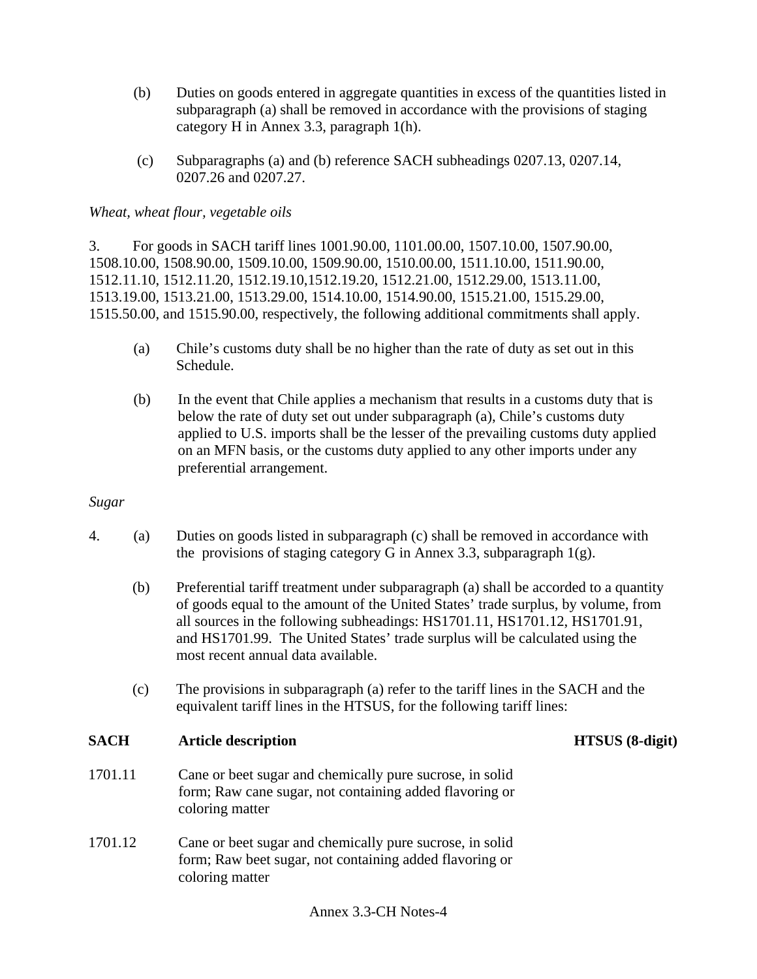- (b) Duties on goods entered in aggregate quantities in excess of the quantities listed in subparagraph (a) shall be removed in accordance with the provisions of staging category H in Annex 3.3, paragraph 1(h).
- (c) Subparagraphs (a) and (b) reference SACH subheadings 0207.13, 0207.14, 0207.26 and 0207.27.

# *Wheat, wheat flour, vegetable oils*

3. For goods in SACH tariff lines 1001.90.00, 1101.00.00, 1507.10.00, 1507.90.00, 1508.10.00, 1508.90.00, 1509.10.00, 1509.90.00, 1510.00.00, 1511.10.00, 1511.90.00, 1512.11.10, 1512.11.20, 1512.19.10,1512.19.20, 1512.21.00, 1512.29.00, 1513.11.00, 1513.19.00, 1513.21.00, 1513.29.00, 1514.10.00, 1514.90.00, 1515.21.00, 1515.29.00, 1515.50.00, and 1515.90.00, respectively, the following additional commitments shall apply.

- (a) Chile's customs duty shall be no higher than the rate of duty as set out in this Schedule.
- (b) In the event that Chile applies a mechanism that results in a customs duty that is below the rate of duty set out under subparagraph (a), Chile's customs duty applied to U.S. imports shall be the lesser of the prevailing customs duty applied on an MFN basis, or the customs duty applied to any other imports under any preferential arrangement.

### *Sugar*

- 4. (a) Duties on goods listed in subparagraph (c) shall be removed in accordance with the provisions of staging category G in Annex 3.3, subparagraph  $1(g)$ .
	- (b) Preferential tariff treatment under subparagraph (a) shall be accorded to a quantity of goods equal to the amount of the United States' trade surplus, by volume, from all sources in the following subheadings: HS1701.11, HS1701.12, HS1701.91, and HS1701.99. The United States' trade surplus will be calculated using the most recent annual data available.
	- (c) The provisions in subparagraph (a) refer to the tariff lines in the SACH and the equivalent tariff lines in the HTSUS, for the following tariff lines:

# **SACH Article description HTSUS (8-digit)**

- 1701.11 Cane or beet sugar and chemically pure sucrose, in solid form; Raw cane sugar, not containing added flavoring or coloring matter
- 1701.12 Cane or beet sugar and chemically pure sucrose, in solid form; Raw beet sugar, not containing added flavoring or coloring matter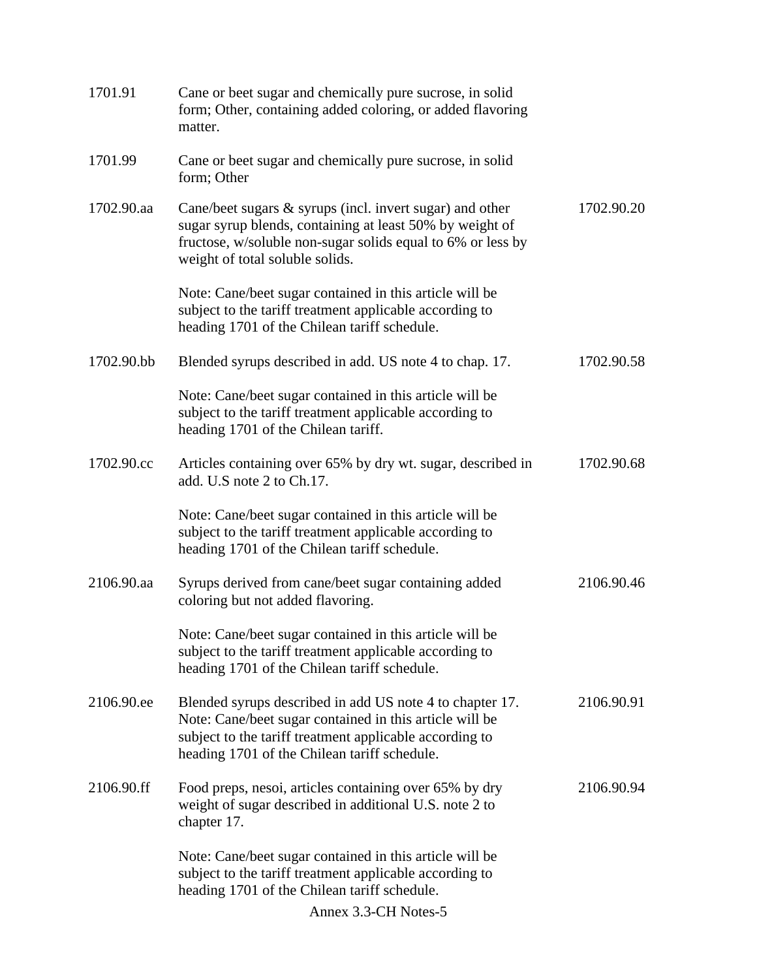| 1701.91    | Cane or beet sugar and chemically pure sucrose, in solid<br>form; Other, containing added coloring, or added flavoring<br>matter.                                                                                              |            |
|------------|--------------------------------------------------------------------------------------------------------------------------------------------------------------------------------------------------------------------------------|------------|
| 1701.99    | Cane or beet sugar and chemically pure sucrose, in solid<br>form; Other                                                                                                                                                        |            |
| 1702.90.aa | Cane/beet sugars $\&$ syrups (incl. invert sugar) and other<br>sugar syrup blends, containing at least 50% by weight of<br>fructose, w/soluble non-sugar solids equal to 6% or less by<br>weight of total soluble solids.      | 1702.90.20 |
|            | Note: Cane/beet sugar contained in this article will be<br>subject to the tariff treatment applicable according to<br>heading 1701 of the Chilean tariff schedule.                                                             |            |
| 1702.90.bb | Blended syrups described in add. US note 4 to chap. 17.                                                                                                                                                                        | 1702.90.58 |
|            | Note: Cane/beet sugar contained in this article will be<br>subject to the tariff treatment applicable according to<br>heading 1701 of the Chilean tariff.                                                                      |            |
| 1702.90.cc | Articles containing over 65% by dry wt. sugar, described in<br>add. U.S note 2 to Ch.17.                                                                                                                                       | 1702.90.68 |
|            | Note: Cane/beet sugar contained in this article will be<br>subject to the tariff treatment applicable according to<br>heading 1701 of the Chilean tariff schedule.                                                             |            |
| 2106.90.aa | Syrups derived from cane/beet sugar containing added<br>coloring but not added flavoring.                                                                                                                                      | 2106.90.46 |
|            | Note: Cane/beet sugar contained in this article will be<br>subject to the tariff treatment applicable according to<br>heading 1701 of the Chilean tariff schedule.                                                             |            |
| 2106.90.ee | Blended syrups described in add US note 4 to chapter 17.<br>Note: Cane/beet sugar contained in this article will be<br>subject to the tariff treatment applicable according to<br>heading 1701 of the Chilean tariff schedule. | 2106.90.91 |
| 2106.90.ff | Food preps, nesoi, articles containing over 65% by dry<br>weight of sugar described in additional U.S. note 2 to<br>chapter 17.                                                                                                | 2106.90.94 |
|            | Note: Cane/beet sugar contained in this article will be<br>subject to the tariff treatment applicable according to<br>heading 1701 of the Chilean tariff schedule.                                                             |            |
|            | Annex 3.3-CH Notes-5                                                                                                                                                                                                           |            |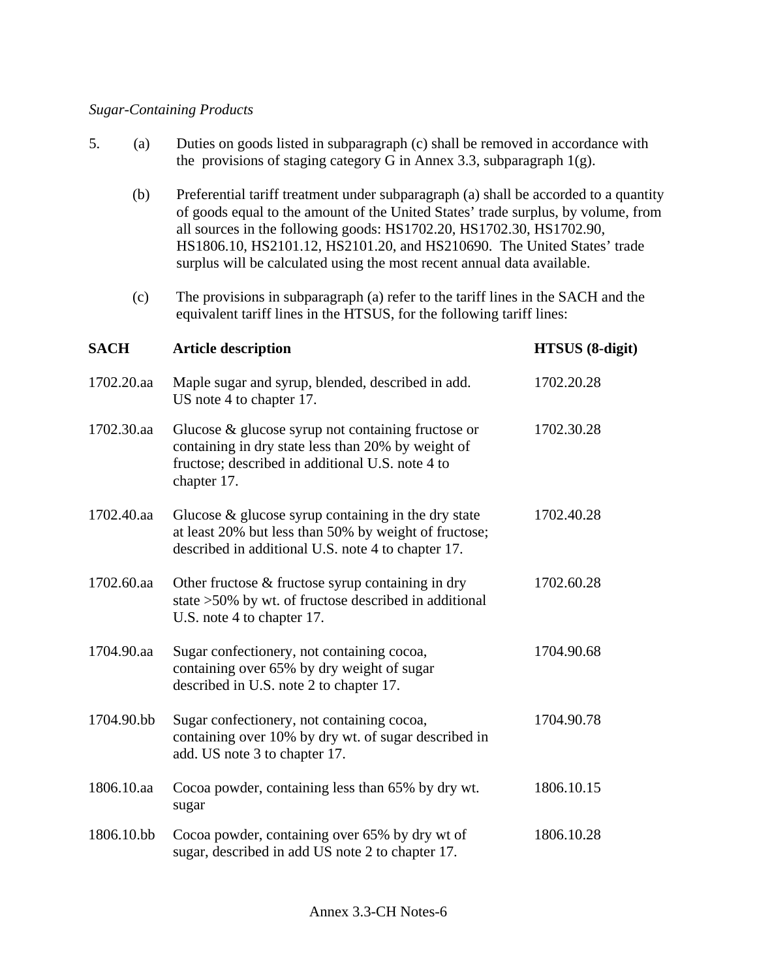# *Sugar-Containing Products*

| 5.          | (a)        | Duties on goods listed in subparagraph (c) shall be removed in accordance with<br>the provisions of staging category G in Annex 3.3, subparagraph $1(g)$ .                                                                 |                                                                                                                                                                           |  |
|-------------|------------|----------------------------------------------------------------------------------------------------------------------------------------------------------------------------------------------------------------------------|---------------------------------------------------------------------------------------------------------------------------------------------------------------------------|--|
|             | (b)        | all sources in the following goods: HS1702.20, HS1702.30, HS1702.90,<br>HS1806.10, HS2101.12, HS2101.20, and HS210690. The United States' trade<br>surplus will be calculated using the most recent annual data available. | Preferential tariff treatment under subparagraph (a) shall be accorded to a quantity<br>of goods equal to the amount of the United States' trade surplus, by volume, from |  |
|             | (c)        | The provisions in subparagraph (a) refer to the tariff lines in the SACH and the<br>equivalent tariff lines in the HTSUS, for the following tariff lines:                                                                  |                                                                                                                                                                           |  |
| <b>SACH</b> |            | <b>Article description</b>                                                                                                                                                                                                 | <b>HTSUS</b> (8-digit)                                                                                                                                                    |  |
|             | 1702.20.aa | Maple sugar and syrup, blended, described in add.<br>US note 4 to chapter 17.                                                                                                                                              | 1702.20.28                                                                                                                                                                |  |
|             | 1702.30.aa | Glucose $\&$ glucose syrup not containing fructose or<br>containing in dry state less than 20% by weight of<br>fructose; described in additional U.S. note 4 to<br>chapter 17.                                             | 1702.30.28                                                                                                                                                                |  |
|             | 1702.40.aa | Glucose $\&$ glucose syrup containing in the dry state<br>at least 20% but less than 50% by weight of fructose;<br>described in additional U.S. note 4 to chapter 17.                                                      | 1702.40.28                                                                                                                                                                |  |
|             | 1702.60.aa | Other fructose $\&$ fructose syrup containing in dry<br>state >50% by wt. of fructose described in additional<br>U.S. note 4 to chapter 17.                                                                                | 1702.60.28                                                                                                                                                                |  |
|             | 1704.90.aa | Sugar confectionery, not containing cocoa,<br>containing over 65% by dry weight of sugar<br>described in U.S. note 2 to chapter 17.                                                                                        | 1704.90.68                                                                                                                                                                |  |
|             | 1704.90.bb | Sugar confectionery, not containing cocoa,<br>containing over 10% by dry wt. of sugar described in<br>add. US note 3 to chapter 17.                                                                                        | 1704.90.78                                                                                                                                                                |  |
|             | 1806.10.aa | Cocoa powder, containing less than 65% by dry wt.<br>sugar                                                                                                                                                                 | 1806.10.15                                                                                                                                                                |  |
|             | 1806.10.bb | Cocoa powder, containing over 65% by dry wt of<br>sugar, described in add US note 2 to chapter 17.                                                                                                                         | 1806.10.28                                                                                                                                                                |  |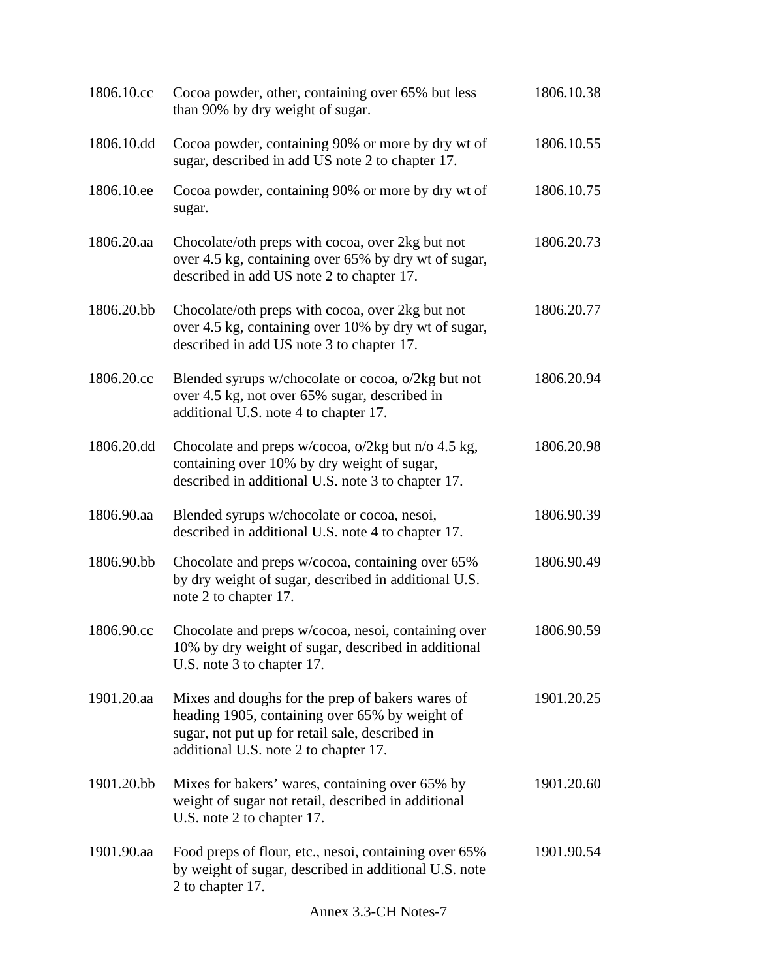| 1806.10.cc | Cocoa powder, other, containing over 65% but less<br>than 90% by dry weight of sugar.                                                                                                          | 1806.10.38 |
|------------|------------------------------------------------------------------------------------------------------------------------------------------------------------------------------------------------|------------|
| 1806.10.dd | Cocoa powder, containing 90% or more by dry wt of<br>sugar, described in add US note 2 to chapter 17.                                                                                          | 1806.10.55 |
| 1806.10.ee | Cocoa powder, containing 90% or more by dry wt of<br>sugar.                                                                                                                                    | 1806.10.75 |
| 1806.20.aa | Chocolate/oth preps with cocoa, over 2kg but not<br>over 4.5 kg, containing over 65% by dry wt of sugar,<br>described in add US note 2 to chapter 17.                                          | 1806.20.73 |
| 1806.20.bb | Chocolate/oth preps with cocoa, over 2kg but not<br>over 4.5 kg, containing over 10% by dry wt of sugar,<br>described in add US note 3 to chapter 17.                                          | 1806.20.77 |
| 1806.20.cc | Blended syrups w/chocolate or cocoa, o/2kg but not<br>over 4.5 kg, not over 65% sugar, described in<br>additional U.S. note 4 to chapter 17.                                                   | 1806.20.94 |
| 1806.20.dd | Chocolate and preps w/cocoa, o/2kg but n/o 4.5 kg,<br>containing over 10% by dry weight of sugar,<br>described in additional U.S. note 3 to chapter 17.                                        | 1806.20.98 |
| 1806.90.aa | Blended syrups w/chocolate or cocoa, nesoi,<br>described in additional U.S. note 4 to chapter 17.                                                                                              | 1806.90.39 |
| 1806.90.bb | Chocolate and preps w/cocoa, containing over 65%<br>by dry weight of sugar, described in additional U.S.<br>note 2 to chapter 17.                                                              | 1806.90.49 |
| 1806.90.cc | Chocolate and preps w/cocoa, nesoi, containing over<br>10% by dry weight of sugar, described in additional<br>U.S. note 3 to chapter 17.                                                       | 1806.90.59 |
| 1901.20.aa | Mixes and doughs for the prep of bakers wares of<br>heading 1905, containing over 65% by weight of<br>sugar, not put up for retail sale, described in<br>additional U.S. note 2 to chapter 17. | 1901.20.25 |
| 1901.20.bb | Mixes for bakers' wares, containing over 65% by<br>weight of sugar not retail, described in additional<br>U.S. note 2 to chapter 17.                                                           | 1901.20.60 |
| 1901.90.aa | Food preps of flour, etc., nesoi, containing over 65%<br>by weight of sugar, described in additional U.S. note<br>2 to chapter 17.                                                             | 1901.90.54 |
|            | Annex 3.3-CH Notes-7                                                                                                                                                                           |            |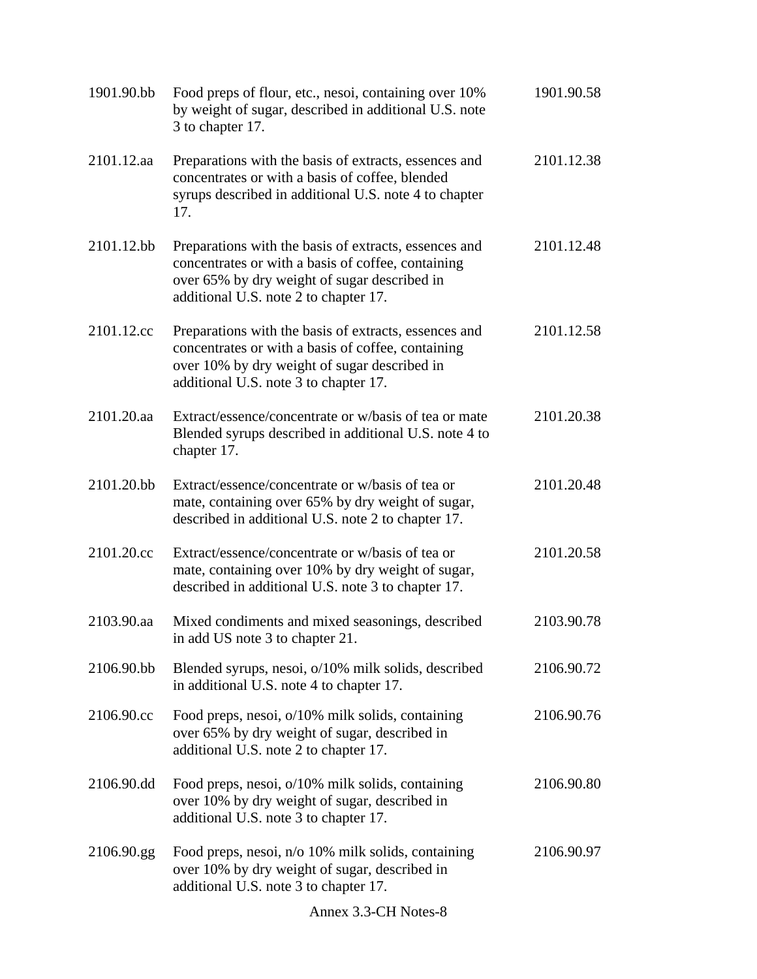| 1901.90.bb | Food preps of flour, etc., nesoi, containing over 10%<br>by weight of sugar, described in additional U.S. note<br>3 to chapter 17.                                                                   | 1901.90.58 |
|------------|------------------------------------------------------------------------------------------------------------------------------------------------------------------------------------------------------|------------|
| 2101.12.aa | Preparations with the basis of extracts, essences and<br>concentrates or with a basis of coffee, blended<br>syrups described in additional U.S. note 4 to chapter<br>17.                             | 2101.12.38 |
| 2101.12.bb | Preparations with the basis of extracts, essences and<br>concentrates or with a basis of coffee, containing<br>over 65% by dry weight of sugar described in<br>additional U.S. note 2 to chapter 17. | 2101.12.48 |
| 2101.12.cc | Preparations with the basis of extracts, essences and<br>concentrates or with a basis of coffee, containing<br>over 10% by dry weight of sugar described in<br>additional U.S. note 3 to chapter 17. | 2101.12.58 |
| 2101.20.aa | Extract/essence/concentrate or w/basis of tea or mate<br>Blended syrups described in additional U.S. note 4 to<br>chapter 17.                                                                        | 2101.20.38 |
| 2101.20.bb | Extract/essence/concentrate or w/basis of tea or<br>mate, containing over 65% by dry weight of sugar,<br>described in additional U.S. note 2 to chapter 17.                                          | 2101.20.48 |
| 2101.20.cc | Extract/essence/concentrate or w/basis of tea or<br>mate, containing over 10% by dry weight of sugar,<br>described in additional U.S. note 3 to chapter 17.                                          | 2101.20.58 |
| 2103.90.aa | Mixed condiments and mixed seasonings, described<br>in add US note 3 to chapter 21.                                                                                                                  | 2103.90.78 |
| 2106.90.bb | Blended syrups, nesoi, o/10% milk solids, described<br>in additional U.S. note 4 to chapter 17.                                                                                                      | 2106.90.72 |
| 2106.90.cc | Food preps, nesoi, o/10% milk solids, containing<br>over 65% by dry weight of sugar, described in<br>additional U.S. note 2 to chapter 17.                                                           | 2106.90.76 |
| 2106.90.dd | Food preps, nesoi, o/10% milk solids, containing<br>over 10% by dry weight of sugar, described in<br>additional U.S. note 3 to chapter 17.                                                           | 2106.90.80 |
| 2106.90.gg | Food preps, nesoi, n/o 10% milk solids, containing<br>over 10% by dry weight of sugar, described in<br>additional U.S. note 3 to chapter 17.                                                         | 2106.90.97 |
|            | Annex 3.3-CH Notes-8                                                                                                                                                                                 |            |